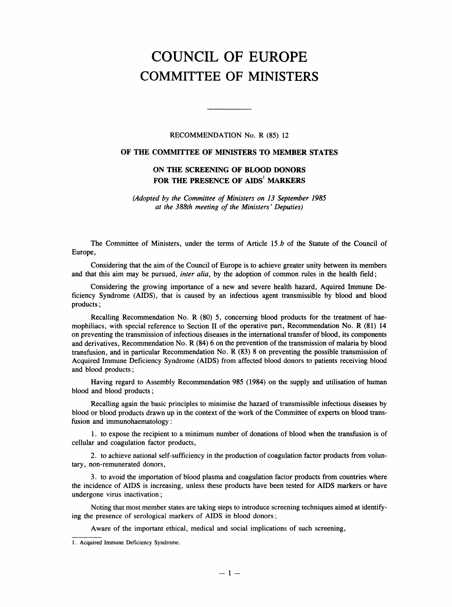## COUNCIL OF EUROPE COMMITTEE OF MINISTERS

## RECOMMENDATION No. R (85) 12

## OF THE COMMITTEE OF MINISTERS TO MEMBER STATES

## ON THE SCREENING OF BLOOD DONORS FOR THE PRESENCE OF AIDS' MARKERS

(Adopted by the Committee of Ministers on 13 September 1985 at the 388th meeting of the Ministers' Deputies)

The Committee of Ministers, under the terms of Article 15.b of the Statute of the Council of Europe,

Considering that the aim of the Council of Europe is to achieve greater unity between its members and that this aim may be pursued, *inter alia*, by the adoption of common rules in the health field;

Considering the growing importance of a new and severe health hazard, Aquired Immune Deficiency Syndrome (AIDS), that is caused by an infectious agent transmissible by blood and blood products;

Recalling Recommendation No. R (80) 5, concerning blood products for the treatment of haemophiliacs, with special reference to Section II of the operative part, Recommendation No. R (81) 14 on preventing the transmission of infectious diseases in the international transfer of blood, its components and derivatives, Recommendation No. R (84) 6 on the prevention of the transmission of malaria by blood transfusion, and in particular Recommendation No. R (83) 8 on preventing the possible transmission of Acquired Immune Deficiency Syndrome (AIDS) from affected blood donors to patients receiving blood and blood products;

Having regard to Assembly Recommendation 985 (1984) on the supply and utilisation of human blood and blood products;

Recalling again the basic principles to minimise the hazard of transmissible infectious diseases by blood or blood products drawn up in the context of the work of the Committee of experts on blood transfusion and immunohaematology:

1. to expose the recipient to a minimum number of donations of blood when the transfusion is of cellular and coagulation factor products,

2. to achieve national self-sufficiency in the production of coagulation factor products from voluntary, non-remunerated donors,

3. to avoid the importation of blood plasma and coagulation factor products from countries where the incidence of AIDS is increasing, unless these products have been tested for AIDS markers or have undergone virus inactivation;

Noting that most member states are taking steps to introduce screening techniques aimed at identifying the presence of serological markers of AIDS in blood donors;

Aware of the important ethical, medical and social implications of such screening,

 $\sim$ 

<sup>1.</sup> Acquired Immune Deficiency Syndrome.